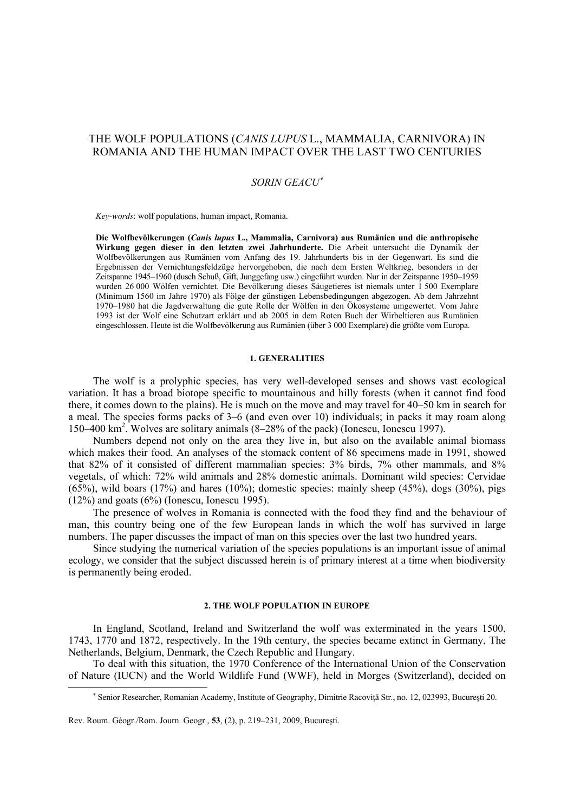# THE WOLF POPULATIONS (*CANIS LUPUS* L., MAMMALIA, CARNIVORA) IN ROMANIA AND THE HUMAN IMPACT OVER THE LAST TWO CENTURIES

## *SORIN GEACU*<sup>∗</sup>

*Key-words*: wolf populations, human impact, Romania.

**Die Wolfbevölkerungen (***Canis lupus* **L., Mammalia, Carnivora) aus Rumänien und die anthropische Wirkung gegen dieser in den letzten zwei Jahrhunderte.** Die Arbeit untersucht die Dynamik der Wolfbevölkerungen aus Rumänien vom Anfang des 19. Jahrhunderts bis in der Gegenwart. Es sind die Ergebnissen der Vernichtungsfeldzüge hervorgehoben, die nach dem Ersten Weltkrieg, besonders in der Zeitspanne 1945–1960 (dusch Schuß, Gift, Junggefang usw.) eingeführt wurden. Nur in der Zeitspanne 1950–1959 wurden 26 000 Wölfen vernichtet. Die Bevölkerung dieses Säugetieres ist niemals unter 1 500 Exemplare (Minimum 1560 im Jahre 1970) als Fölge der günstigen Lebensbedingungen abgezogen. Ab dem Jahrzehnt 1970–1980 hat die Jagdverwaltung die gute Rolle der Wölfen in den Ökosysteme umgewertet. Vom Jahre 1993 ist der Wolf eine Schutzart erklärt und ab 2005 in dem Roten Buch der Wirbeltieren aus Rumänien eingeschlossen. Heute ist die Wolfbevölkerung aus Rumänien (über 3 000 Exemplare) die größte vom Europa.

#### **1. GENERALITIES**

The wolf is a prolyphic species, has very well-developed senses and shows vast ecological variation. It has a broad biotope specific to mountainous and hilly forests (when it cannot find food there, it comes down to the plains). He is much on the move and may travel for 40–50 km in search for a meal. The species forms packs of 3–6 (and even over 10) individuals; in packs it may roam along 150–400 km2 . Wolves are solitary animals (8–28% of the pack) (Ionescu, Ionescu 1997).

Numbers depend not only on the area they live in, but also on the available animal biomass which makes their food. An analyses of the stomack content of 86 specimens made in 1991, showed that 82% of it consisted of different mammalian species: 3% birds, 7% other mammals, and 8% vegetals, of which: 72% wild animals and 28% domestic animals. Dominant wild species: Cervidae  $(65\%)$ , wild boars  $(17\%)$  and hares  $(10\%)$ ; domestic species: mainly sheep  $(45\%)$ , dogs  $(30\%)$ , pigs  $(12\%)$  and goats  $(6\%)$  (Ionescu, Ionescu 1995).

The presence of wolves in Romania is connected with the food they find and the behaviour of man, this country being one of the few European lands in which the wolf has survived in large numbers. The paper discusses the impact of man on this species over the last two hundred years.

Since studying the numerical variation of the species populations is an important issue of animal ecology, we consider that the subject discussed herein is of primary interest at a time when biodiversity is permanently being eroded.

### **2. THE WOLF POPULATION IN EUROPE**

In England, Scotland, Ireland and Switzerland the wolf was exterminated in the years 1500, 1743, 1770 and 1872, respectively. In the 19th century, the species became extinct in Germany, The Netherlands, Belgium, Denmark, the Czech Republic and Hungary.

To deal with this situation, the 1970 Conference of the International Union of the Conservation of Nature (IUCN) and the World Wildlife Fund (WWF), held in Morges (Switzerland), decided on

<sup>∗</sup> Senior Researcher, Romanian Academy, Institute of Geography, Dimitrie Racoviţă Str., no. 12, 023993, Bucureşti 20.

Rev. Roum. Géogr./Rom. Journ. Geogr., **53**, (2), p. 219–231, 2009, Bucureşti.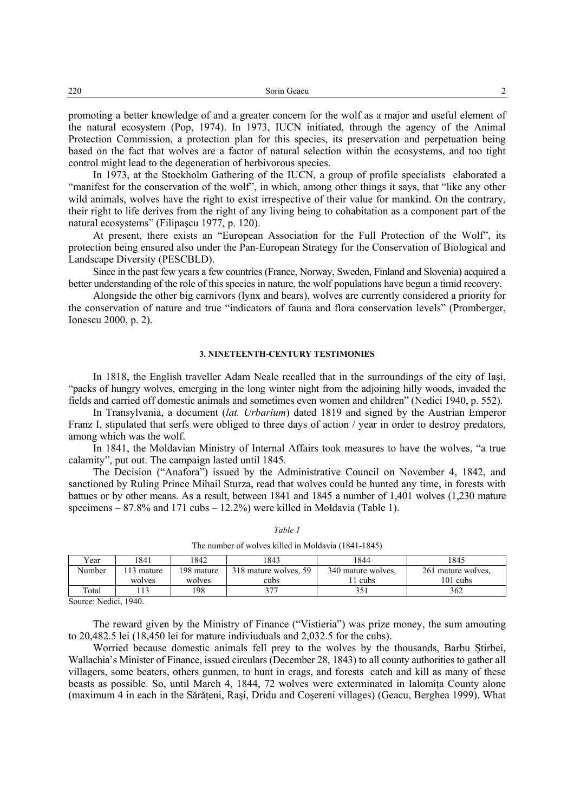| 220 | Sorin Geacu |  |
|-----|-------------|--|
|-----|-------------|--|

promoting a better knowledge of and a greater concern for the wolf as a major and useful element of the natural ecosystem (Pop, 1974). In 1973, IUCN initiated, through the agency of the Animal Protection Commission, a protection plan for this species, its preservation and perpetuation being based on the fact that wolves are a factor of natural selection within the ecosystems, and too tight control might lead to the degeneration of herbivorous species.

In 1973, at the Stockholm Gathering of the IUCN, a group of profile specialists elaborated a "manifest for the conservation of the wolf", in which, among other things it says, that "like any other wild animals, wolves have the right to exist irrespective of their value for mankind. On the contrary, their right to life derives from the right of any living being to cohabitation as a component part of the natural ecosystems" (Filipaşcu 1977, p. 120).

At present, there exists an "European Association for the Full Protection of the Wolf", its protection being ensured also under the Pan-European Strategy for the Conservation of Biological and Landscape Diversity (PESCBLD).

Since in the past few years a few countries (France, Norway, Sweden, Finland and Slovenia) acquired a better understanding of the role of this species in nature, the wolf populations have begun a timid recovery.

Alongside the other big carnivors (lynx and bears), wolves are currently considered a priority for the conservation of nature and true "indicators of fauna and flora conservation levels" (Promberger, Ionescu 2000, p. 2).

### **3. NINETEENTH-CENTURY TESTIMONIES**

In 1818, the English traveller Adam Neale recalled that in the surroundings of the city of Iaşi, "packs of hungry wolves, emerging in the long winter night from the adjoining hilly woods, invaded the fields and carried off domestic animals and sometimes even women and children" (Nedici 1940, p. 552).

In Transylvania, a document (*lat. Urbarium*) dated 1819 and signed by the Austrian Emperor Franz I, stipulated that serfs were obliged to three days of action / year in order to destroy predators, among which was the wolf.

In 1841, the Moldavian Ministry of Internal Affairs took measures to have the wolves, "a true calamity", put out. The campaign lasted until 1845.

The Decision ("Anafora") issued by the Administrative Council on November 4, 1842, and sanctioned by Ruling Prince Mihail Sturza, read that wolves could be hunted any time, in forests with battues or by other means. As a result, between 1841 and 1845 a number of 1,401 wolves (1,230 mature specimens  $-87.8\%$  and 171 cubs  $-12.2\%$ ) were killed in Moldavia (Table 1).

| THE HUMBER OF WORVES KINCU IN IVIOLUAVIA (1041-1043) |                 |            |                       |                    |                    |  |
|------------------------------------------------------|-----------------|------------|-----------------------|--------------------|--------------------|--|
| Year                                                 | 1841            | 1842       | 1843                  | 1844               | 1845               |  |
| Number                                               | 113 mature      | 198 mature | 318 mature wolves, 59 | 340 mature wolves. | 261 mature wolves, |  |
|                                                      | wolves          | wolves     | cubs                  | 1 cubs             | $101$ cubs         |  |
| Total                                                | $\overline{13}$ | 198        | 377                   | 351                | 362                |  |

*Table 1* 

The number of wolves killed in Moldavia (1841-1845)

Source: Nedici, 1940.

The reward given by the Ministry of Finance ("Vistieria") was prize money, the sum amouting to 20,482.5 lei (18,450 lei for mature indiviuduals and 2,032.5 for the cubs).

Worried because domestic animals fell prey to the wolves by the thousands, Barbu Ştirbei, Wallachia's Minister of Finance, issued circulars (December 28, 1843) to all county authorities to gather all villagers, some beaters, others gunmen, to hunt in crags, and forests catch and kill as many of these beasts as possible. So, until March 4, 1844, 72 wolves were exterminated in Ialomita County alone (maximum 4 in each in the Sărăteni, Rași, Dridu and Cosereni villages) (Geacu, Berghea 1999). What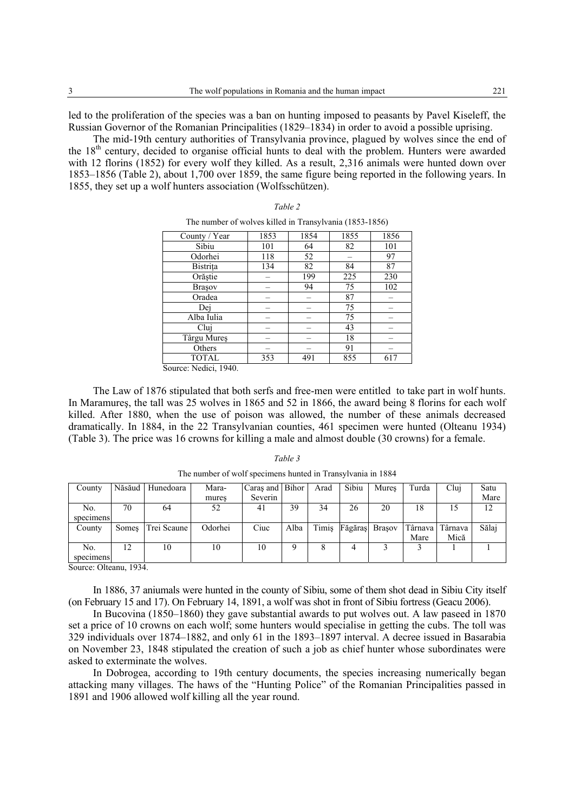led to the proliferation of the species was a ban on hunting imposed to peasants by Pavel Kiseleff, the Russian Governor of the Romanian Principalities (1829–1834) in order to avoid a possible uprising.

The mid-19th century authorities of Transylvania province, plagued by wolves since the end of the 18th century, decided to organise official hunts to deal with the problem. Hunters were awarded with 12 florins (1852) for every wolf they killed. As a result, 2,316 animals were hunted down over 1853–1856 (Table 2), about 1,700 over 1859, the same figure being reported in the following years. In 1855, they set up a wolf hunters association (Wolfsschützen).

*Table 2* 

| The number of wolves killed in Transylvania (1853-1856) |      |      |      |      |  |  |
|---------------------------------------------------------|------|------|------|------|--|--|
| County / Year                                           | 1853 | 1854 | 1855 | 1856 |  |  |
| Sibiu                                                   | 101  | 64   | 82   | 101  |  |  |
| Odorhei                                                 | 118  | 52   |      | 97   |  |  |
| Bistrita                                                | 134  | 82   | 84   | 87   |  |  |
| Orăștie                                                 |      | 199  | 225  | 230  |  |  |
| <b>Brasov</b>                                           |      | 94   | 75   | 102  |  |  |
| Oradea                                                  |      |      | 87   |      |  |  |
| Dei                                                     |      |      | 75   |      |  |  |
| Alba Iulia                                              |      |      | 75   |      |  |  |
| Clui                                                    |      |      | 43   |      |  |  |
| Târgu Mureș                                             |      |      | 18   |      |  |  |
| Others                                                  |      |      | 91   |      |  |  |
| <b>TOTAL</b>                                            | 353  | 491  | 855  | 617  |  |  |

Source: Nedici, 1940.

The Law of 1876 stipulated that both serfs and free-men were entitled to take part in wolf hunts. In Maramureş, the tall was 25 wolves in 1865 and 52 in 1866, the award being 8 florins for each wolf killed. After 1880, when the use of poison was allowed, the number of these animals decreased dramatically. In 1884, in the 22 Transylvanian counties, 461 specimen were hunted (Olteanu 1934) (Table 3). The price was 16 crowns for killing a male and almost double (30 crowns) for a female.

#### *Table 3*

| County    |    | Năsăud Hunedoara  | Mara-   | Caras and Bihor |      | Arad | Sibiu | Mures                | Turda | Clui              | Satu  |
|-----------|----|-------------------|---------|-----------------|------|------|-------|----------------------|-------|-------------------|-------|
|           |    |                   | mures   | Severin         |      |      |       |                      |       |                   | Mare  |
| No.       | 70 | 64                | 52      | 41              | 39   | 34   | 26    | 20                   | 18    | 15                | 12    |
| specimens |    |                   |         |                 |      |      |       |                      |       |                   |       |
|           |    |                   |         |                 |      |      |       |                      |       |                   |       |
| County    |    | Somes Trei Scaune | Odorhei | Ciuc            | Alba |      |       | Timis Făgăraș Brașov |       | Târnava   Târnava | Sălai |
|           |    |                   |         |                 |      |      |       |                      | Mare  | Mică              |       |
| No.       | 12 | 10                | 10      | 10              |      |      |       |                      |       |                   |       |

The number of wolf specimens hunted in Transylvania in 1884

Source: Olteanu, 1934.

In 1886, 37 aniumals were hunted in the county of Sibiu, some of them shot dead in Sibiu City itself (on February 15 and 17). On February 14, 1891, a wolf was shot in front of Sibiu fortress (Geacu 2006).

In Bucovina (1850–1860) they gave substantial awards to put wolves out. A law paseed in 1870 set a price of 10 crowns on each wolf; some hunters would specialise in getting the cubs. The toll was 329 individuals over 1874–1882, and only 61 in the 1893–1897 interval. A decree issued in Basarabia on November 23, 1848 stipulated the creation of such a job as chief hunter whose subordinates were asked to exterminate the wolves.

In Dobrogea, according to 19th century documents, the species increasing numerically began attacking many villages. The haws of the "Hunting Police" of the Romanian Principalities passed in 1891 and 1906 allowed wolf killing all the year round.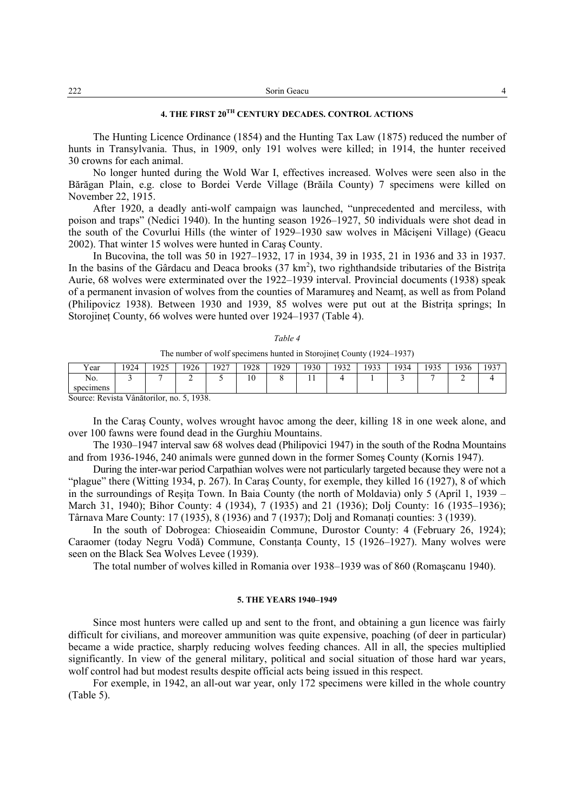| 4 |
|---|
|   |

## **4. THE FIRST 20TH CENTURY DECADES. CONTROL ACTIONS**

The Hunting Licence Ordinance (1854) and the Hunting Tax Law (1875) reduced the number of hunts in Transylvania. Thus, in 1909, only 191 wolves were killed; in 1914, the hunter received 30 crowns for each animal.

No longer hunted during the Wold War I, effectives increased. Wolves were seen also in the Bărăgan Plain, e.g. close to Bordei Verde Village (Brăila County) 7 specimens were killed on November 22, 1915.

After 1920, a deadly anti-wolf campaign was launched, "unprecedented and merciless, with poison and traps" (Nedici 1940). In the hunting season 1926–1927, 50 individuals were shot dead in the south of the Covurlui Hills (the winter of 1929–1930 saw wolves in Măcişeni Village) (Geacu 2002). That winter 15 wolves were hunted in Caraş County.

In Bucovina, the toll was 50 in 1927–1932, 17 in 1934, 39 in 1935, 21 in 1936 and 33 in 1937. In the basins of the Gârdacu and Deaca brooks  $(37 \text{ km}^2)$ , two righthandside tributaries of the Bistrița Aurie, 68 wolves were exterminated over the 1922–1939 interval. Provincial documents (1938) speak of a permanent invasion of wolves from the counties of Maramures and Neamt, as well as from Poland (Philipovicz 1938). Between 1930 and 1939, 85 wolves were put out at the Bistrita springs; In Storojinet County, 66 wolves were hunted over 1924–1937 (Table 4).

| anı<br>c |  |
|----------|--|
|          |  |

The number of wolf specimens hunted in Storojineţ County (1924–1937)

| $\mathbf{v}$<br>r ear                                                                                                                        | 924 | 1925<br>۔۔ ۔ | 1926 | 1927 | 1928 | 1929 | 930 | 1032<br>. <i>.</i> | 1933 | 934<br>┘ | 1935<br>. <i>. .</i> | 1936 | 1937 |
|----------------------------------------------------------------------------------------------------------------------------------------------|-----|--------------|------|------|------|------|-----|--------------------|------|----------|----------------------|------|------|
| No.<br>specimens                                                                                                                             |     |              | -    |      | 10   |      | . . |                    |      |          |                      | ∸    |      |
| $\mathbf{C}$ and $\mathbf{D}$ and $\mathbf{V}$ $\mathbf{A}$ and $\mathbf{V}$ $\mathbf{A}$ and $\mathbf{V}$ and $\mathbf{V}$ and $\mathbf{V}$ |     |              | 1020 |      |      |      |     |                    |      |          |                      |      |      |

Source: Revista Vânătorilor, no. 5, 1938.

In the Caraş County, wolves wrought havoc among the deer, killing 18 in one week alone, and over 100 fawns were found dead in the Gurghiu Mountains.

The 1930–1947 interval saw 68 wolves dead (Philipovici 1947) in the south of the Rodna Mountains and from 1936-1946, 240 animals were gunned down in the former Someş County (Kornis 1947).

During the inter-war period Carpathian wolves were not particularly targeted because they were not a "plague" there (Witting 1934, p. 267). In Caraş County, for exemple, they killed 16 (1927), 8 of which in the surroundings of Resita Town. In Baia County (the north of Moldavia) only 5 (April 1, 1939 – March 31, 1940); Bihor County: 4 (1934), 7 (1935) and 21 (1936); Dolj County: 16 (1935–1936); Târnava Mare County: 17 (1935), 8 (1936) and 7 (1937); Dolj and Romanaţi counties: 3 (1939).

In the south of Dobrogea: Chioseaidin Commune, Durostor County: 4 (February 26, 1924); Caraomer (today Negru Vodă) Commune, Constanţa County, 15 (1926–1927). Many wolves were seen on the Black Sea Wolves Levee (1939).

The total number of wolves killed in Romania over 1938–1939 was of 860 (Romaşcanu 1940).

#### **5. THE YEARS 1940–1949**

Since most hunters were called up and sent to the front, and obtaining a gun licence was fairly difficult for civilians, and moreover ammunition was quite expensive, poaching (of deer in particular) became a wide practice, sharply reducing wolves feeding chances. All in all, the species multiplied significantly. In view of the general military, political and social situation of those hard war years, wolf control had but modest results despite official acts being issued in this respect.

For exemple, in 1942, an all-out war year, only 172 specimens were killed in the whole country (Table 5).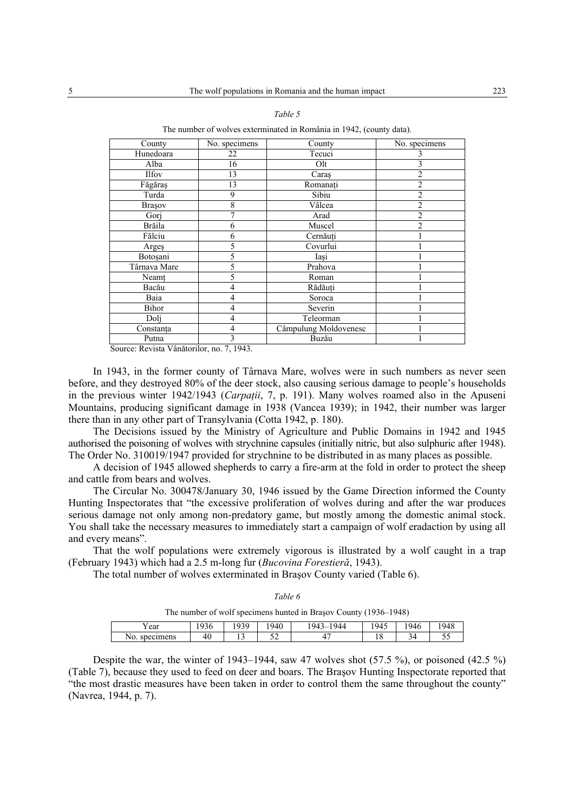| ۰,<br>. .<br>۰.<br>×<br>۰, | ۰, |
|----------------------------|----|
|----------------------------|----|

The number of wolves exterminated in România in 1942, (county data).

| County                   | No. specimens | County                | No. specimens  |
|--------------------------|---------------|-----------------------|----------------|
| Hunedoara                | 22            | Tecuci                |                |
| Alba                     | 16            | Olt                   |                |
| <b>Ilfov</b>             | 13            | Caras                 | $\overline{c}$ |
| Făgăraș                  | 13            | Romanați              | 2              |
| Turda                    | 9             | Sibiu                 | $\overline{c}$ |
| Brașov                   | 8             | Vâlcea                | $\overline{c}$ |
| Gorj                     | 7             | Arad                  | $\overline{2}$ |
| Brăila                   | 6             | Muscel                | $\mathfrak{D}$ |
| Fălciu                   | 6             | Cernăuți              |                |
| Arges                    | 5             | Covurlui              |                |
| Botoșani                 | 5             | Iași                  |                |
| Târnava Mare             | 5             | Prahova               |                |
| $\overline{\text{Neam}}$ | 5             | Roman                 |                |
| Bacău                    | 4             | Rădăuți               |                |
| Baia                     | 4             | Soroca                |                |
| Bihor                    | 4             | Severin               |                |
| Doli                     | 4             | Teleorman             |                |
| Constanța                | 4             | Câmpulung Moldovenesc |                |
| Putna                    | 3             | Buzău                 |                |

Source: Revista Vânătorilor, no. 7, 1943.

In 1943, in the former county of Târnava Mare, wolves were in such numbers as never seen before, and they destroyed 80% of the deer stock, also causing serious damage to people's households in the previous winter 1942/1943 (*Carpaţii*, 7, p. 191). Many wolves roamed also in the Apuseni Mountains, producing significant damage in 1938 (Vancea 1939); in 1942, their number was larger there than in any other part of Transylvania (Cotta 1942, p. 180).

The Decisions issued by the Ministry of Agriculture and Public Domains in 1942 and 1945 authorised the poisoning of wolves with strychnine capsules (initially nitric, but also sulphuric after 1948). The Order No. 310019/1947 provided for strychnine to be distributed in as many places as possible.

A decision of 1945 allowed shepherds to carry a fire-arm at the fold in order to protect the sheep and cattle from bears and wolves.

The Circular No. 300478/January 30, 1946 issued by the Game Direction informed the County Hunting Inspectorates that "the excessive proliferation of wolves during and after the war produces serious damage not only among non-predatory game, but mostly among the domestic animal stock. You shall take the necessary measures to immediately start a campaign of wolf eradaction by using all and every means".

That the wolf populations were extremely vigorous is illustrated by a wolf caught in a trap (February 1943) which had a 2.5 m-long fur (*Bucovina Forestieră*, 1943).

The total number of wolves exterminated in Braşov County varied (Table 6).

| ۰, |  |
|----|--|
|----|--|

| The number of wolf specimens hunted in Brașov County (1936–1948) |  |  |
|------------------------------------------------------------------|--|--|
|                                                                  |  |  |

| ear              | $\Omega$<br>-4<br>, J U | 1030<br>ر ب | 1940       | 944<br>943<br>`- | 945 | 946 | 1948 |
|------------------|-------------------------|-------------|------------|------------------|-----|-----|------|
| specimens<br>NO. | -40                     |             | - -<br>ىدى |                  | 1 O | ىر  | ັັ   |

Despite the war, the winter of 1943–1944, saw 47 wolves shot  $(57.5\%)$ , or poisoned  $(42.5\%)$ (Table 7), because they used to feed on deer and boars. The Braşov Hunting Inspectorate reported that "the most drastic measures have been taken in order to control them the same throughout the county" (Navrea, 1944, p. 7).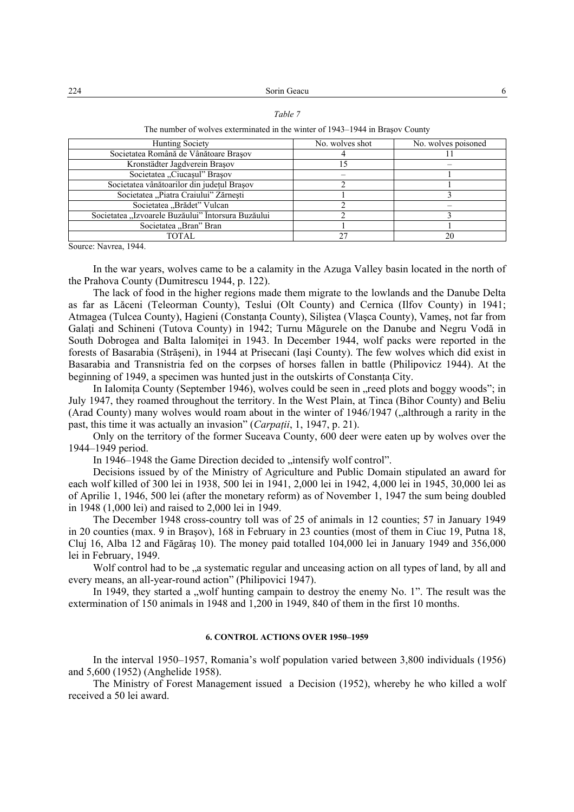The number of wolves exterminated in the winter of 1943–1944 in Braşov County

| Hunting Society                                    | No. wolves shot | No. wolves poisoned |  |  |
|----------------------------------------------------|-----------------|---------------------|--|--|
| Societatea Română de Vânătoare Brasov              |                 |                     |  |  |
| Kronstädter Jagdverein Brașov                      |                 |                     |  |  |
| Societatea "Ciucașul" Brașov                       |                 |                     |  |  |
| Societatea vânătoarilor din județul Brașov         |                 |                     |  |  |
| Societatea "Piatra Craiului" Zărnești              |                 |                     |  |  |
| Societatea "Brădet" Vulcan                         |                 |                     |  |  |
| Societatea "Izvoarele Buzăului" Întorsura Buzăului |                 |                     |  |  |
| Societatea "Bran" Bran                             |                 |                     |  |  |
| TOTAL.                                             |                 |                     |  |  |

Source: Navrea, 1944.

In the war years, wolves came to be a calamity in the Azuga Valley basin located in the north of the Prahova County (Dumitrescu 1944, p. 122).

The lack of food in the higher regions made them migrate to the lowlands and the Danube Delta as far as Lăceni (Teleorman County), Teslui (Olt County) and Cernica (Ilfov County) in 1941; Atmagea (Tulcea County), Hagieni (Constanta County), Silistea (Vlasca County), Vames, not far from Galaţi and Schineni (Tutova County) in 1942; Turnu Măgurele on the Danube and Negru Vodă in South Dobrogea and Balta Ialomitei in 1943. In December 1944, wolf packs were reported in the forests of Basarabia (Străşeni), in 1944 at Prisecani (Iaşi County). The few wolves which did exist in Basarabia and Transnistria fed on the corpses of horses fallen in battle (Philipovicz 1944). At the beginning of 1949, a specimen was hunted just in the outskirts of Constanta City.

In Ialomita County (September 1946), wolves could be seen in , reed plots and boggy woods"; in July 1947, they roamed throughout the territory. In the West Plain, at Tinca (Bihor County) and Beliu (Arad County) many wolves would roam about in the winter of 1946/1947 ("althrough a rarity in the past, this time it was actually an invasion" (*Carpaţii*, 1, 1947, p. 21).

Only on the territory of the former Suceava County, 600 deer were eaten up by wolves over the 1944–1949 period.

In 1946–1948 the Game Direction decided to "intensify wolf control".

Decisions issued by of the Ministry of Agriculture and Public Domain stipulated an award for each wolf killed of 300 lei in 1938, 500 lei in 1941, 2,000 lei in 1942, 4,000 lei in 1945, 30,000 lei as of Aprilie 1, 1946, 500 lei (after the monetary reform) as of November 1, 1947 the sum being doubled in 1948 (1,000 lei) and raised to 2,000 lei in 1949.

The December 1948 cross-country toll was of 25 of animals in 12 counties; 57 in January 1949 in 20 counties (max. 9 in Braşov), 168 in February in 23 counties (most of them in Ciuc 19, Putna 18, Cluj 16, Alba 12 and Făgăraş 10). The money paid totalled 104,000 lei in January 1949 and 356,000 lei in February, 1949.

Wolf control had to be  $\alpha$  systematic regular and unceasing action on all types of land, by all and every means, an all-year-round action" (Philipovici 1947).

In 1949, they started a "wolf hunting campain to destroy the enemy No. 1". The result was the extermination of 150 animals in 1948 and 1,200 in 1949, 840 of them in the first 10 months.

## **6. CONTROL ACTIONS OVER 1950–1959**

In the interval 1950–1957, Romania's wolf population varied between 3,800 individuals (1956) and 5,600 (1952) (Anghelide 1958).

The Ministry of Forest Management issued a Decision (1952), whereby he who killed a wolf received a 50 lei award.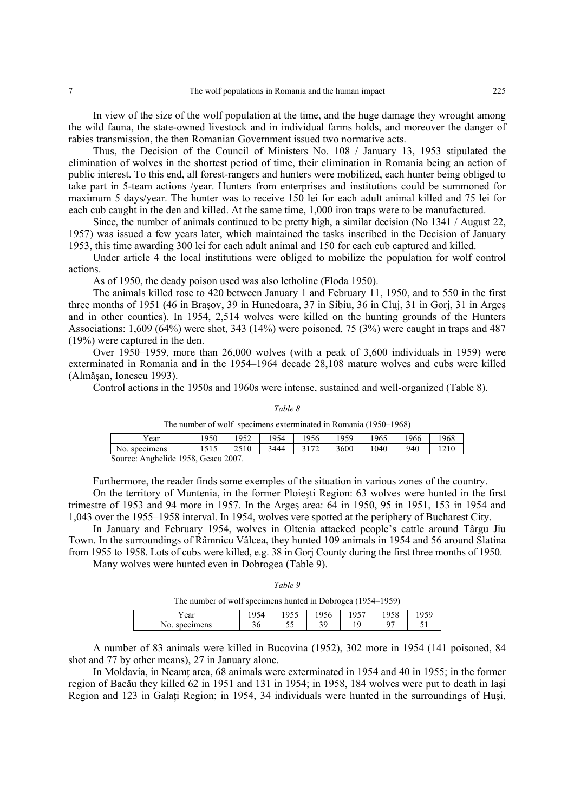In view of the size of the wolf population at the time, and the huge damage they wrought among the wild fauna, the state-owned livestock and in individual farms holds, and moreover the danger of rabies transmission, the then Romanian Government issued two normative acts.

Thus, the Decision of the Council of Ministers No. 108 / January 13, 1953 stipulated the elimination of wolves in the shortest period of time, their elimination in Romania being an action of public interest. To this end, all forest-rangers and hunters were mobilized, each hunter being obliged to take part in 5-team actions /year. Hunters from enterprises and institutions could be summoned for maximum 5 days/year. The hunter was to receive 150 lei for each adult animal killed and 75 lei for each cub caught in the den and killed. At the same time, 1,000 iron traps were to be manufactured.

Since, the number of animals continued to be pretty high, a similar decision (No 1341 / August 22, 1957) was issued a few years later, which maintained the tasks inscribed in the Decision of January 1953, this time awarding 300 lei for each adult animal and 150 for each cub captured and killed.

Under article 4 the local institutions were obliged to mobilize the population for wolf control actions.

As of 1950, the deady poison used was also letholine (Floda 1950).

The animals killed rose to 420 between January 1 and February 11, 1950, and to 550 in the first three months of 1951 (46 in Braşov, 39 in Hunedoara, 37 in Sibiu, 36 in Cluj, 31 in Gorj, 31 in Argeş and in other counties). In 1954, 2,514 wolves were killed on the hunting grounds of the Hunters Associations: 1,609 (64%) were shot, 343 (14%) were poisoned, 75 (3%) were caught in traps and 487 (19%) were captured in the den.

Over 1950–1959, more than 26,000 wolves (with a peak of 3,600 individuals in 1959) were exterminated in Romania and in the 1954–1964 decade 28,108 mature wolves and cubs were killed (Almăşan, Ionescu 1993).

Control actions in the 1950s and 1960s were intense, sustained and well-organized (Table 8).

#### *Table 8*

The number of wolf specimens exterminated in Romania (1950–1968)

| ear                                                | 1950    | 952  | 954  | 1956      | 959  | 1965 | 1966 | .968 |  |
|----------------------------------------------------|---------|------|------|-----------|------|------|------|------|--|
| No.<br>specimens                                   | 1 J 1 J | 2510 | 3444 | 2172<br>- | 3600 | 1040 | 940  | 210  |  |
| Anghelide 1958<br>Geacu 2007<br>S <sub>OMICA</sub> |         |      |      |           |      |      |      |      |  |

Source: Anghelide 1958, Geacu 2007.

Furthermore, the reader finds some exemples of the situation in various zones of the country.

On the territory of Muntenia, in the former Ploieşti Region: 63 wolves were hunted in the first trimestre of 1953 and 94 more in 1957. In the Argeş area: 64 in 1950, 95 in 1951, 153 in 1954 and 1,043 over the 1955–1958 interval. In 1954, wolves vere spotted at the periphery of Bucharest City.

In January and February 1954, wolves in Oltenia attacked people's cattle around Târgu Jiu Town. In the surroundings of Râmnicu Vâlcea, they hunted 109 animals in 1954 and 56 around Slatina from 1955 to 1958. Lots of cubs were killed, e.g. 38 in Gorj County during the first three months of 1950. Many wolves were hunted even in Dobrogea (Table 9).

*Table 9* 

The number of wolf specimens hunted in Dobrogea (1954–1959)

|                  | __                           |                                               |         | . .        |      |                     |
|------------------|------------------------------|-----------------------------------------------|---------|------------|------|---------------------|
| Y ear            | $\sim$ $\sim$ $\sim$<br>, 13 | $\sim$ $\sim$ $\sim$ $\sim$<br>1 <i>) J J</i> | 1956    | 0.077<br>◡ | 1958 | 959<br>- - - - -    |
| specimens<br>No. | $\sim$<br>50                 | - -<br>ັ                                      | ٦0<br>◡ | C          | ∩¬   | - -<br><u>. Jin</u> |

A number of 83 animals were killed in Bucovina (1952), 302 more in 1954 (141 poisoned, 84 shot and 77 by other means), 27 in January alone.

In Moldavia, in Neamt area, 68 animals were exterminated in 1954 and 40 in 1955; in the former region of Bacău they killed 62 in 1951 and 131 in 1954; in 1958, 184 wolves were put to death in Iaşi Region and 123 in Galati Region; in 1954, 34 individuals were hunted in the surroundings of Husi,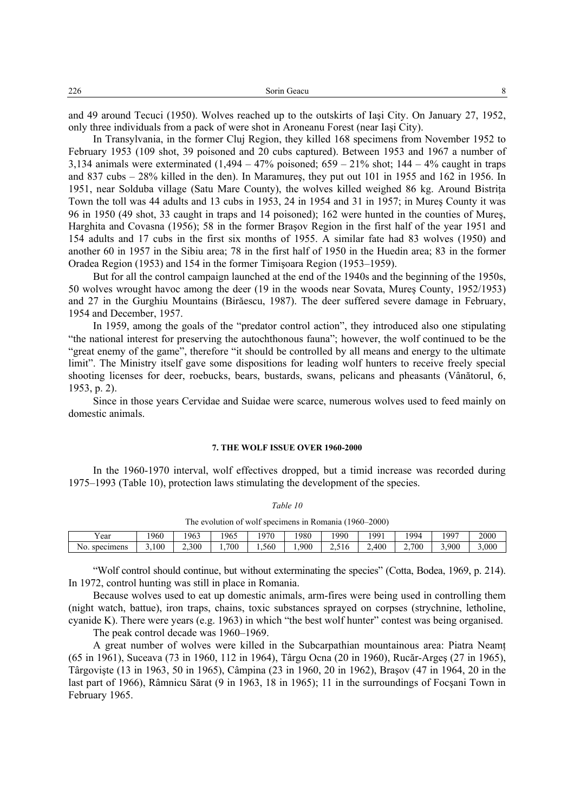and 49 around Tecuci (1950). Wolves reached up to the outskirts of Iaşi City. On January 27, 1952, only three individuals from a pack of were shot in Aroneanu Forest (near Iaşi City).

In Transylvania, in the former Cluj Region, they killed 168 specimens from November 1952 to February 1953 (109 shot, 39 poisoned and 20 cubs captured). Between 1953 and 1967 a number of 3,134 animals were exterminated  $(1.494 - 47\%$  poisoned;  $659 - 21\%$  shot;  $144 - 4\%$  caught in traps and 837 cubs – 28% killed in the den). In Maramureş, they put out 101 in 1955 and 162 in 1956. In 1951, near Solduba village (Satu Mare County), the wolves killed weighed 86 kg. Around Bistrita Town the toll was 44 adults and 13 cubs in 1953, 24 in 1954 and 31 in 1957; in Mureş County it was 96 in 1950 (49 shot, 33 caught in traps and 14 poisoned); 162 were hunted in the counties of Mureş, Harghita and Covasna (1956); 58 in the former Braşov Region in the first half of the year 1951 and 154 adults and 17 cubs in the first six months of 1955. A similar fate had 83 wolves (1950) and another 60 in 1957 in the Sibiu area; 78 in the first half of 1950 in the Huedin area; 83 in the former Oradea Region (1953) and 154 in the former Timişoara Region (1953–1959).

But for all the control campaign launched at the end of the 1940s and the beginning of the 1950s, 50 wolves wrought havoc among the deer (19 in the woods near Sovata, Mureş County, 1952/1953) and 27 in the Gurghiu Mountains (Birăescu, 1987). The deer suffered severe damage in February, 1954 and December, 1957.

In 1959, among the goals of the "predator control action", they introduced also one stipulating "the national interest for preserving the autochthonous fauna"; however, the wolf continued to be the "great enemy of the game", therefore "it should be controlled by all means and energy to the ultimate limit". The Ministry itself gave some dispositions for leading wolf hunters to receive freely special shooting licenses for deer, roebucks, bears, bustards, swans, pelicans and pheasants (Vânătorul, 6, 1953, p. 2).

Since in those years Cervidae and Suidae were scarce, numerous wolves used to feed mainly on domestic animals.

### **7. THE WOLF ISSUE OVER 1960-2000**

In the 1960-1970 interval, wolf effectives dropped, but a timid increase was recorded during 1975–1993 (Table 10), protection laws stimulating the development of the species.

| The evolution of wolf specimens in Romania (1960–2000) |      |       |      |      |      |       |       |       |       |       |
|--------------------------------------------------------|------|-------|------|------|------|-------|-------|-------|-------|-------|
| Year                                                   | 1960 | 1963  | 1965 | 1970 | '980 | 1990  | 1991  | 1994  | 1997  | 2000  |
| No. specimens                                          | .100 | 2.300 | 700  | .560 | .900 | 2.516 | 2.400 | 2.700 | 3.900 | 3.000 |

*Table 10* 

"Wolf control should continue, but without exterminating the species" (Cotta, Bodea, 1969, p. 214). In 1972, control hunting was still in place in Romania.

Because wolves used to eat up domestic animals, arm-fires were being used in controlling them (night watch, battue), iron traps, chains, toxic substances sprayed on corpses (strychnine, letholine, cyanide K). There were years (e.g. 1963) in which "the best wolf hunter" contest was being organised.

The peak control decade was 1960–1969.

A great number of wolves were killed in the Subcarpathian mountainous area: Piatra Neamţ (65 in 1961), Suceava (73 in 1960, 112 in 1964), Târgu Ocna (20 in 1960), Rucăr-Argeş (27 in 1965), Târgovişte (13 in 1963, 50 in 1965), Câmpina (23 in 1960, 20 in 1962), Braşov (47 in 1964, 20 in the last part of 1966), Râmnicu Sărat (9 in 1963, 18 in 1965); 11 in the surroundings of Focşani Town in February 1965.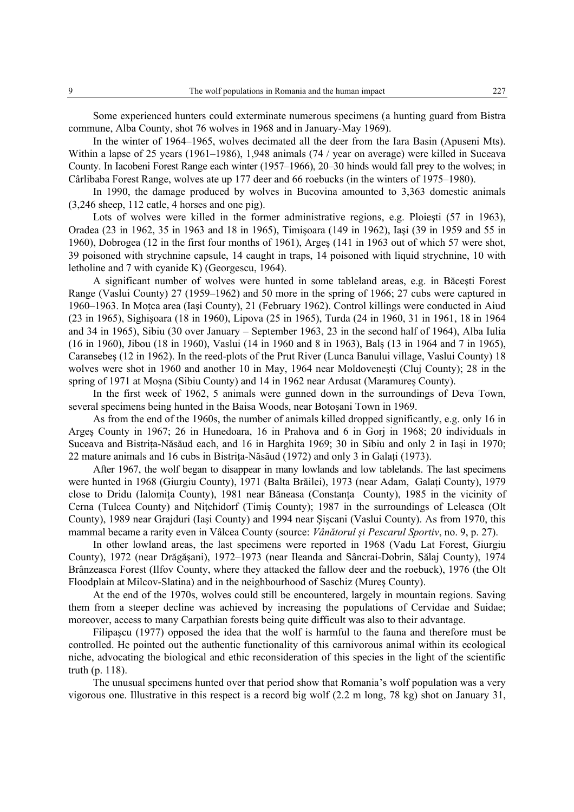Some experienced hunters could exterminate numerous specimens (a hunting guard from Bistra commune, Alba County, shot 76 wolves in 1968 and in January-May 1969).

In the winter of 1964–1965, wolves decimated all the deer from the Iara Basin (Apuseni Mts). Within a lapse of 25 years (1961–1986), 1,948 animals (74 / year on average) were killed in Suceava County. In Iacobeni Forest Range each winter (1957–1966), 20–30 hinds would fall prey to the wolves; in Cârlibaba Forest Range, wolves ate up 177 deer and 66 roebucks (in the winters of 1975–1980).

In 1990, the damage produced by wolves in Bucovina amounted to 3,363 domestic animals (3,246 sheep, 112 catle, 4 horses and one pig).

Lots of wolves were killed in the former administrative regions, e.g. Ploiesti (57 in 1963), Oradea (23 in 1962, 35 in 1963 and 18 in 1965), Timişoara (149 in 1962), Iaşi (39 in 1959 and 55 in 1960), Dobrogea (12 in the first four months of 1961), Argeş (141 in 1963 out of which 57 were shot, 39 poisoned with strychnine capsule, 14 caught in traps, 14 poisoned with liquid strychnine, 10 with letholine and 7 with cyanide K) (Georgescu, 1964).

A significant number of wolves were hunted in some tableland areas, e.g. in Băceşti Forest Range (Vaslui County) 27 (1959–1962) and 50 more in the spring of 1966; 27 cubs were captured in 1960–1963. In Moţca area (Iaşi County), 21 (February 1962). Control killings were conducted in Aiud (23 in 1965), Sighişoara (18 in 1960), Lipova (25 in 1965), Turda (24 in 1960, 31 in 1961, 18 in 1964 and 34 in 1965), Sibiu (30 over January – September 1963, 23 in the second half of 1964), Alba Iulia (16 in 1960), Jibou (18 in 1960), Vaslui (14 in 1960 and 8 in 1963), Balş (13 in 1964 and 7 in 1965), Caransebeş (12 in 1962). In the reed-plots of the Prut River (Lunca Banului village, Vaslui County) 18 wolves were shot in 1960 and another 10 in May, 1964 near Moldoveneşti (Cluj County); 28 in the spring of 1971 at Moşna (Sibiu County) and 14 in 1962 near Ardusat (Maramureş County).

In the first week of 1962, 5 animals were gunned down in the surroundings of Deva Town, several specimens being hunted in the Baisa Woods, near Botoşani Town in 1969.

As from the end of the 1960s, the number of animals killed dropped significantly, e.g. only 16 in Argeş County in 1967; 26 in Hunedoara, 16 in Prahova and 6 in Gorj in 1968; 20 individuals in Suceava and Bistrita-Năsăud each, and 16 in Harghita 1969; 30 in Sibiu and only 2 in Iași in 1970; 22 mature animals and 16 cubs in Bistrita-Năsăud (1972) and only 3 in Galati (1973).

After 1967, the wolf began to disappear in many lowlands and low tablelands. The last specimens were hunted in 1968 (Giurgiu County), 1971 (Balta Brăilei), 1973 (near Adam, Galați County), 1979 close to Dridu (Ialomita County), 1981 near Băneasa (Constanta County), 1985 in the vicinity of Cerna (Tulcea County) and Niţchidorf (Timiş County); 1987 in the surroundings of Leleasca (Olt County), 1989 near Grajduri (Iaşi County) and 1994 near Şişcani (Vaslui County). As from 1970, this mammal became a rarity even in Vâlcea County (source: *Vânătorul şi Pescarul Sportiv*, no. 9, p. 27).

In other lowland areas, the last specimens were reported in 1968 (Vadu Lat Forest, Giurgiu County), 1972 (near Drăgăşani), 1972–1973 (near Ileanda and Sâncrai-Dobrin, Sălaj County), 1974 Brânzeasca Forest (Ilfov County, where they attacked the fallow deer and the roebuck), 1976 (the Olt Floodplain at Milcov-Slatina) and in the neighbourhood of Saschiz (Mureş County).

At the end of the 1970s, wolves could still be encountered, largely in mountain regions. Saving them from a steeper decline was achieved by increasing the populations of Cervidae and Suidae; moreover, access to many Carpathian forests being quite difficult was also to their advantage.

Filipaşcu (1977) opposed the idea that the wolf is harmful to the fauna and therefore must be controlled. He pointed out the authentic functionality of this carnivorous animal within its ecological niche, advocating the biological and ethic reconsideration of this species in the light of the scientific truth (p. 118).

The unusual specimens hunted over that period show that Romania's wolf population was a very vigorous one. Illustrative in this respect is a record big wolf (2.2 m long, 78 kg) shot on January 31,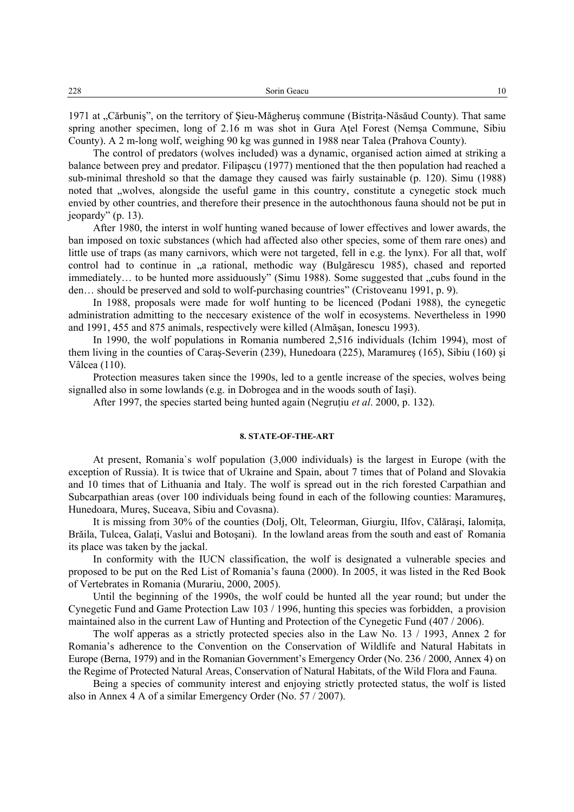1971 at "Cărbuniș", on the territory of Şieu-Măgheruş commune (Bistrița-Năsăud County). That same spring another specimen, long of 2.16 m was shot in Gura Aţel Forest (Nemşa Commune, Sibiu County). A 2 m-long wolf, weighing 90 kg was gunned in 1988 near Talea (Prahova County).

The control of predators (wolves included) was a dynamic, organised action aimed at striking a balance between prey and predator. Filipaşcu (1977) mentioned that the then population had reached a sub-minimal threshold so that the damage they caused was fairly sustainable (p. 120). Simu (1988) noted that "wolves, alongside the useful game in this country, constitute a cynegetic stock much envied by other countries, and therefore their presence in the autochthonous fauna should not be put in jeopardy" (p. 13).

After 1980, the interst in wolf hunting waned because of lower effectives and lower awards, the ban imposed on toxic substances (which had affected also other species, some of them rare ones) and little use of traps (as many carnivors, which were not targeted, fell in e.g. the lynx). For all that, wolf control had to continue in "a rational, methodic way (Bulgărescu 1985), chased and reported immediately... to be hunted more assiduously" (Simu 1988). Some suggested that "cubs found in the den… should be preserved and sold to wolf-purchasing countries" (Cristoveanu 1991, p. 9).

In 1988, proposals were made for wolf hunting to be licenced (Podani 1988), the cynegetic administration admitting to the neccesary existence of the wolf in ecosystems. Nevertheless in 1990 and 1991, 455 and 875 animals, respectively were killed (Almăşan, Ionescu 1993).

In 1990, the wolf populations in Romania numbered 2,516 individuals (Ichim 1994), most of them living in the counties of Caraş-Severin (239), Hunedoara (225), Maramureş (165), Sibiu (160) şi Vâlcea (110).

Protection measures taken since the 1990s, led to a gentle increase of the species, wolves being signalled also in some lowlands (e.g. in Dobrogea and in the woods south of Iaşi).

After 1997, the species started being hunted again (Negruţiu *et al*. 2000, p. 132).

## **8. STATE-OF-THE-ART**

At present, Romania`s wolf population (3,000 individuals) is the largest in Europe (with the exception of Russia). It is twice that of Ukraine and Spain, about 7 times that of Poland and Slovakia and 10 times that of Lithuania and Italy. The wolf is spread out in the rich forested Carpathian and Subcarpathian areas (over 100 individuals being found in each of the following counties: Maramureş, Hunedoara, Mureş, Suceava, Sibiu and Covasna).

It is missing from 30% of the counties (Dolj, Olt, Teleorman, Giurgiu, Ilfov, Călărași, Ialomita, Brăila, Tulcea, Galati, Vaslui and Botosani). In the lowland areas from the south and east of Romania its place was taken by the jackal.

In conformity with the IUCN classification, the wolf is designated a vulnerable species and proposed to be put on the Red List of Romania's fauna (2000). In 2005, it was listed in the Red Book of Vertebrates in Romania (Murariu, 2000, 2005).

Until the beginning of the 1990s, the wolf could be hunted all the year round; but under the Cynegetic Fund and Game Protection Law 103 / 1996, hunting this species was forbidden, a provision maintained also in the current Law of Hunting and Protection of the Cynegetic Fund (407 / 2006).

The wolf apperas as a strictly protected species also in the Law No. 13 / 1993, Annex 2 for Romania's adherence to the Convention on the Conservation of Wildlife and Natural Habitats in Europe (Berna, 1979) and in the Romanian Government's Emergency Order (No. 236 / 2000, Annex 4) on the Regime of Protected Natural Areas, Conservation of Natural Habitats, of the Wild Flora and Fauna.

Being a species of community interest and enjoying strictly protected status, the wolf is listed also in Annex 4 A of a similar Emergency Order (No. 57 / 2007).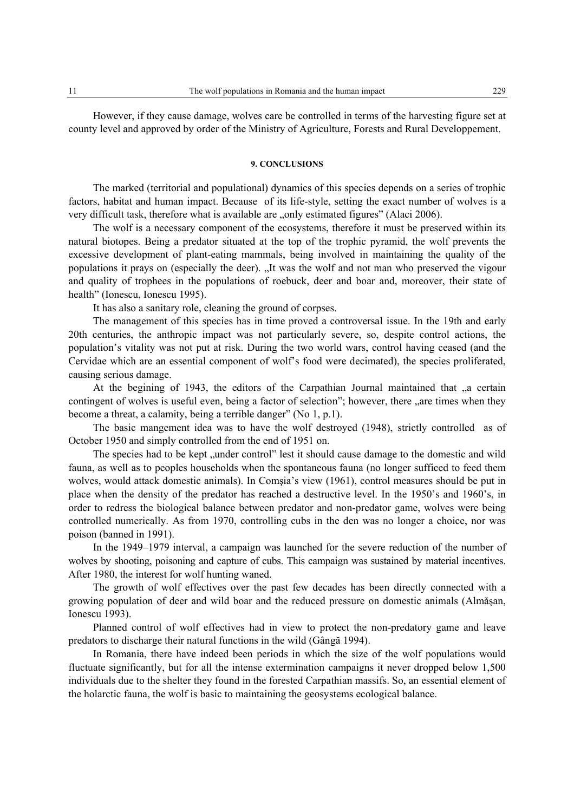However, if they cause damage, wolves care be controlled in terms of the harvesting figure set at county level and approved by order of the Ministry of Agriculture, Forests and Rural Developpement.

#### **9. CONCLUSIONS**

The marked (territorial and populational) dynamics of this species depends on a series of trophic factors, habitat and human impact. Because of its life-style, setting the exact number of wolves is a very difficult task, therefore what is available are "only estimated figures" (Alaci 2006).

The wolf is a necessary component of the ecosystems, therefore it must be preserved within its natural biotopes. Being a predator situated at the top of the trophic pyramid, the wolf prevents the excessive development of plant-eating mammals, being involved in maintaining the quality of the populations it prays on (especially the deer). "It was the wolf and not man who preserved the vigour and quality of trophees in the populations of roebuck, deer and boar and, moreover, their state of health" (Ionescu, Ionescu 1995).

It has also a sanitary role, cleaning the ground of corpses.

The management of this species has in time proved a controversal issue. In the 19th and early 20th centuries, the anthropic impact was not particularly severe, so, despite control actions, the population's vitality was not put at risk. During the two world wars, control having ceased (and the Cervidae which are an essential component of wolf's food were decimated), the species proliferated, causing serious damage.

At the begining of 1943, the editors of the Carpathian Journal maintained that "a certain contingent of wolves is useful even, being a factor of selection"; however, there "are times when they become a threat, a calamity, being a terrible danger" (No 1, p.1).

The basic mangement idea was to have the wolf destroyed (1948), strictly controlled as of October 1950 and simply controlled from the end of 1951 on.

The species had to be kept "under control" lest it should cause damage to the domestic and wild fauna, as well as to peoples households when the spontaneous fauna (no longer sufficed to feed them wolves, would attack domestic animals). In Comşia's view (1961), control measures should be put in place when the density of the predator has reached a destructive level. In the 1950's and 1960's, in order to redress the biological balance between predator and non-predator game, wolves were being controlled numerically. As from 1970, controlling cubs in the den was no longer a choice, nor was poison (banned in 1991).

In the 1949–1979 interval, a campaign was launched for the severe reduction of the number of wolves by shooting, poisoning and capture of cubs. This campaign was sustained by material incentives. After 1980, the interest for wolf hunting waned.

The growth of wolf effectives over the past few decades has been directly connected with a growing population of deer and wild boar and the reduced pressure on domestic animals (Almăşan, Ionescu 1993).

Planned control of wolf effectives had in view to protect the non-predatory game and leave predators to discharge their natural functions in the wild (Gângă 1994).

In Romania, there have indeed been periods in which the size of the wolf populations would fluctuate significantly, but for all the intense extermination campaigns it never dropped below 1,500 individuals due to the shelter they found in the forested Carpathian massifs. So, an essential element of the holarctic fauna, the wolf is basic to maintaining the geosystems ecological balance.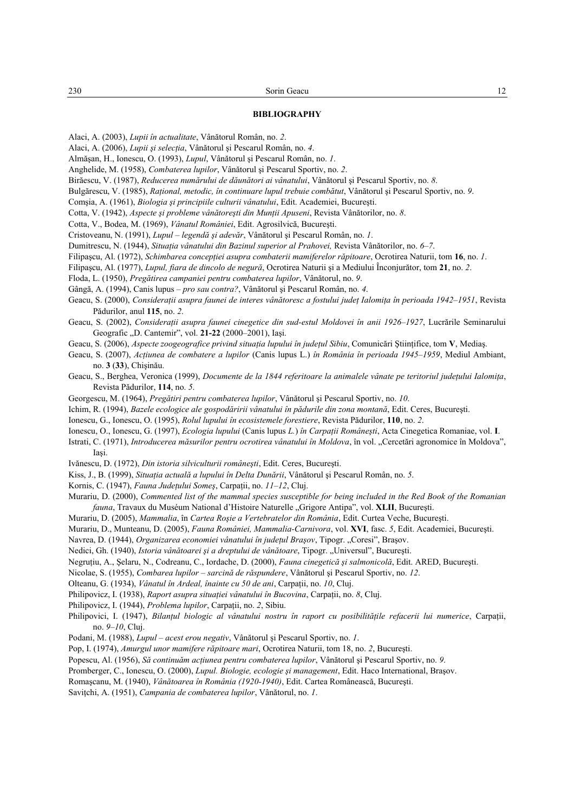#### **BIBLIOGRAPHY**

Alaci, A. (2003), *Lupii în actualitate*, Vânătorul Român, no. *2*.

- Alaci, A. (2006), *Lupii şi selecţia*, Vânătorul şi Pescarul Român, no. *4*.
- Almăşan, H., Ionescu, O. (1993), *Lupul*, Vânătorul şi Pescarul Român, no. *1*.
- Anghelide, M. (1958), *Combaterea lupilor*, Vânătorul şi Pescarul Sportiv, no. *2*.
- Birăescu, V. (1987), *Reducerea numărului de dăunători ai vânatului*, Vânătorul şi Pescarul Sportiv, no. *8*.
- Bulgărescu, V. (1985), *Raţional, metodic, în continuare lupul trebuie combătut*, Vânătorul şi Pescarul Sportiv, no. *9*.
- Comşia, A. (1961), *Biologia şi principiile culturii vânatului*, Edit. Academiei, Bucureşti.
- Cotta, V. (1942), *Aspecte şi probleme vânătoreşti din Munţii Apuseni*, Revista Vânătorilor, no. *8*.
- Cotta, V., Bodea, M. (1969), *Vânatul României*, Edit. Agrosilvică, Bucureşti.
- Cristoveanu, N. (1991), *Lupul legendă şi adevăr*, Vânătorul şi Pescarul Român, no. *1*.
- Dumitrescu, N. (1944), *Situaţia vânatului din Bazinul superior al Prahovei,* Revista Vânătorilor, no. *6–7*.
- Filipaşcu, Al. (1972), *Schimbarea concepţiei asupra combaterii mamiferelor răpitoare*, Ocrotirea Naturii, tom **16**, no. *1*.
- Filipaşcu, Al. (1977), *Lupul, fiara de dincolo de negură*, Ocrotirea Naturii şi a Mediului Înconjurător, tom **21**, no. *2*.
- Floda, L. (1950), *Pregătirea campaniei pentru combaterea lupilor*, Vânătorul, no. *9*.
- Gângă, A. (1994), Canis lupus *pro sau contra?*, Vânătorul şi Pescarul Român, no. *4*.
- Geacu, S. (2000), *Consideraţii asupra faunei de interes vânătoresc a fostului judeţ Ialomiţa în perioada 1942–1951*, Revista Pădurilor, anul **115**, no. *2*.
- Geacu, S. (2002), *Consideraţii asupra faunei cinegetice din sud-estul Moldovei în anii 1926–1927*, Lucrările Seminarului Geografic "D. Cantemir", vol. 21-22 (2000–2001), Iași.
- Geacu, S. (2006), *Aspecte zoogeografice privind situaţia lupului în judeţul Sibiu*, Comunicări Ştiinţifice, tom **V**, Mediaş.
- Geacu, S. (2007), *Acţiunea de combatere a lupilor* (Canis lupus L.) *în România în perioada 1945–1959*, Mediul Ambiant, no. **3** (**33**), Chişinău.
- Geacu, S., Berghea, Veronica (1999), *Documente de la 1844 referitoare la animalele vânate pe teritoriul judeţului Ialomiţa*, Revista Pădurilor, **114**, no. *5*.
- Georgescu, M. (1964), *Pregătiri pentru combaterea lupilor*, Vânătorul şi Pescarul Sportiv, no. *10*.
- Ichim, R. (1994), *Bazele ecologice ale gospodăririi vânatului în pădurile din zona montană*, Edit. Ceres, Bucureşti.
- Ionescu, G., Ionescu, O. (1995), *Rolul lupului în ecosistemele forestiere*, Revista Pădurilor, **110**, no. *2*.
- Ionescu, O., Ionescu, G. (1997), *Ecologia lupului* (Canis lupus *L.*) *în Carpaţii Româneşti*, Acta Cinegetica Romaniae, vol. **I**.
- Istrati, C. (1971), *Introducerea măsurilor pentru ocrotirea vânatului în Moldova*, în vol. "Cercetări agronomice în Moldova", Iaşi.
- Ivănescu, D. (1972), *Din istoria silviculturii româneşti*, Edit. Ceres, Bucureşti.
- Kiss, J., B. (1999), *Situaţia actuală a lupului în Delta Dunării*, Vânătorul şi Pescarul Român, no. *5*.
- Kornis, C. (1947), *Fauna Judeţului Someş*, Carpaţii, no. *11–12*, Cluj.
- Murariu, D. (2000), *Commented list of the mammal species susceptible for being included in the Red Book of the Romanian fauna*, Travaux du Muséum National d'Histoire Naturelle "Grigore Antipa", vol. **XLII**, Bucureşti.
- Murariu, D. (2005), *Mammalia*, în *Cartea Roşie a Vertebratelor din România*, Edit. Curtea Veche, Bucureşti.
- Murariu, D., Munteanu, D. (2005), *Fauna României, Mammalia-Carnivora*, vol. **XVI**, fasc. *5*, Edit. Academiei, Bucureşti.
- Navrea, D. (1944), *Organizarea economiei vânatului în județul Brașov*, Tipogr. "Coresi", Brașov.
- Nedici, Gh. (1940), *Istoria vânătoarei şi a dreptului de vânătoare*, Tipogr. "Universul", Bucureşti.
- Negruţiu, A., Şelaru, N., Codreanu, C., Iordache, D. (2000), *Fauna cinegetică şi salmonicolă*, Edit. ARED, Bucureşti.
- Nicolae, S. (1955), *Combarea lupilor sarcină de răspundere*, Vânătorul şi Pescarul Sportiv, no. *12*.
- Olteanu, G. (1934), *Vânatul în Ardeal, înainte cu 50 de ani*, Carpaţii, no. *10*, Cluj.
- Philipovicz, I. (1938), *Raport asupra situației vânatului în Bucovina*, Carpații, no. 8, Cluj.
- Philipovicz, I. (1944), *Problema lupilor*, Carpaţii, no. *2*, Sibiu.
- Philipovici, I. (1947), *Bilanţul biologic al vânatului nostru în raport cu posibilităţile refacerii lui numerice*, Carpaţii, no. *9–10*, Cluj.
- Podani, M. (1988), *Lupul acest erou negativ*, Vânătorul şi Pescarul Sportiv, no. *1*.
- Pop, I. (1974), *Amurgul unor mamifere răpitoare mari*, Ocrotirea Naturii, tom 18, no. *2*, Bucureşti.
- Popescu, Al. (1956), *Să continuăm acţiunea pentru combaterea lupilor*, Vânătorul şi Pescarul Sportiv, no. *9*.
- Promberger, C., Ionescu, O. (2000), *Lupul. Biologie, ecologie şi management*, Edit. Haco International, Braşov.
- Romaşcanu, M. (1940), *Vânătoarea în România (1920-1940)*, Edit. Cartea Românească, Bucureşti.
- Saviţchi, A. (1951), *Campania de combaterea lupilor*, Vânătorul, no. *1*.